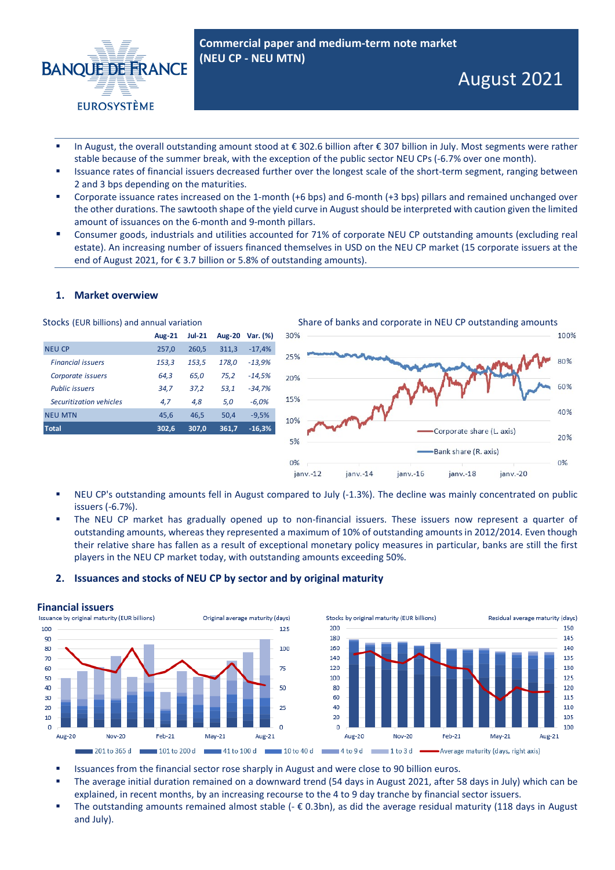

- In August, the overall outstanding amount stood at € 302.6 billion after € 307 billion in July. Most segments were rather stable because of the summer break, with the exception of the public sector NEU CPs (-6.7% over one month).
- Issuance rates of financial issuers decreased further over the longest scale of the short-term segment, ranging between 2 and 3 bps depending on the maturities.
- Corporate issuance rates increased on the 1-month (+6 bps) and 6-month (+3 bps) pillars and remained unchanged over the other durations. The sawtooth shape of the yield curve in August should be interpreted with caution given the limited amount of issuances on the 6-month and 9-month pillars.
- Consumer goods, industrials and utilities accounted for 71% of corporate NEU CP outstanding amounts (excluding real estate). An increasing number of issuers financed themselves in USD on the NEU CP market (15 corporate issuers at the end of August 2021, for € 3.7 billion or 5.8% of outstanding amounts).

### **1. Market overwiew**

| <b>Aug-21</b> | <b>Jul-21</b> | <b>Aug-20</b> | Var. (%) |
|---------------|---------------|---------------|----------|
| 257,0         | 260,5         | 311,3         | $-17,4%$ |
| 153,3         | 153,5         | 178,0         | $-13,9%$ |
| 64,3          | 65.0          | 75,2          | $-14,5%$ |
| 34,7          | 37,2          | 53,1          | -34,7%   |
| 4.7           | 4.8           | 5,0           | $-6,0%$  |
| 45.6          | 46.5          | 50,4          | $-9.5%$  |
| 302,6         | 307.0         | 361,7         | $-16,3%$ |
|               |               |               |          |



- NEU CP's outstanding amounts fell in August compared to July (-1.3%). The decline was mainly concentrated on public issuers (-6.7%).
- The NEU CP market has gradually opened up to non-financial issuers. These issuers now represent a quarter of outstanding amounts, whereas they represented a maximum of 10% of outstanding amounts in 2012/2014. Even though their relative share has fallen as a result of exceptional monetary policy measures in particular, banks are still the first players in the NEU CP market today, with outstanding amounts exceeding 50%.

### **2. Issuances and stocks of NEU CP by sector and by original maturity**

**Financial issuers**<br>Issuance by original maturity (EUR billions) Original average maturity (days) 100 125 200 180 90 80  $100$ 160 70 140 ഌ 120 75 50  $100$  $40$ 50  $80$ 30 60  $\overline{20}$ 40  $25$  $20$  $10$  $\overline{a}$  $\overline{a}$  $\overline{a}$ Aug-20  $Now-20$ Feb-21  $Mav-21$ Aug-21 Aug-20  $Now-20$ 



- Issuances from the financial sector rose sharply in August and were close to 90 billion euros.
- The average initial duration remained on a downward trend (54 days in August 2021, after 58 days in July) which can be explained, in recent months, by an increasing recourse to the 4 to 9 day tranche by financial sector issuers.
- The outstanding amounts remained almost stable  $(-\epsilon \ 0.3bn)$ , as did the average residual maturity (118 days in August and July).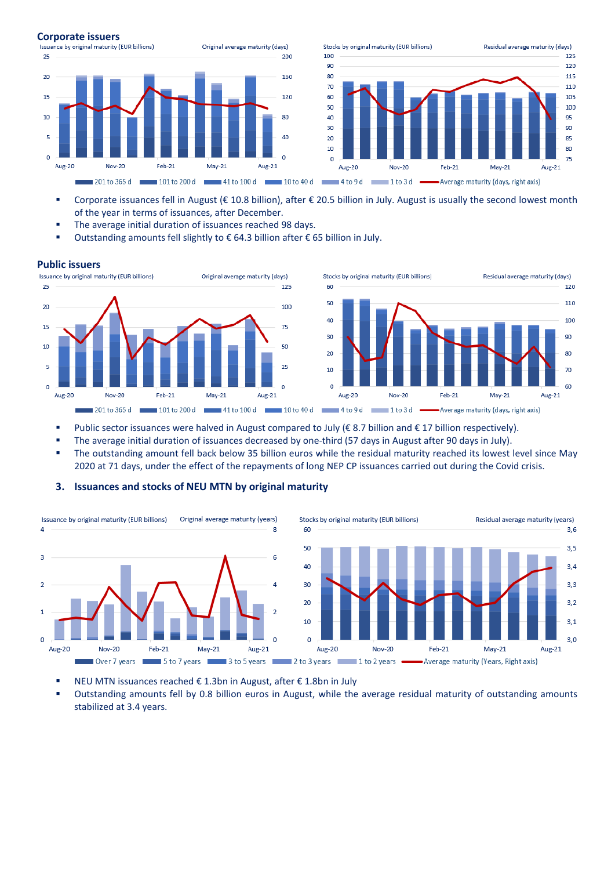

Aug-21

201 to 365 d 101 to 200 d 41 to 100 d 10 to 40 d 4 to 9 d 1 to 3 d -

Corporate issuances fell in August ( $\epsilon$  10.8 billion), after  $\epsilon$  20.5 billion in July. August is usually the second lowest month of the year in terms of issuances, after December.

Aug-20

 $Nov-20$ 

Feb-21

 $Mav-21$ 

Average maturity (days, right axis)

The average initial duration of issuances reached 98 days.

 $Feb-21$ 

■ Outstanding amounts fell slightly to  $\epsilon$  64.3 billion after  $\epsilon$  65 billion in July.

 $May-21$ 

Aug-20

Nov-20



- Public sector issuances were halved in August compared to July (€ 8.7 billion and € 17 billion respectively).
- The average initial duration of issuances decreased by one-third (57 days in August after 90 days in July).
- The outstanding amount fell back below 35 billion euros while the residual maturity reached its lowest level since May 2020 at 71 days, under the effect of the repayments of long NEP CP issuances carried out during the Covid crisis.



### **3. Issuances and stocks of NEU MTN by original maturity**



125

120

115

 $110$ 

105

100

95

90

85 80

 $75$ 

Aug-21

- NEU MTN issuances reached € 1.3bn in August, after € 1.8bn in July
- Outstanding amounts fell by 0.8 billion euros in August, while the average residual maturity of outstanding amounts stabilized at 3.4 years.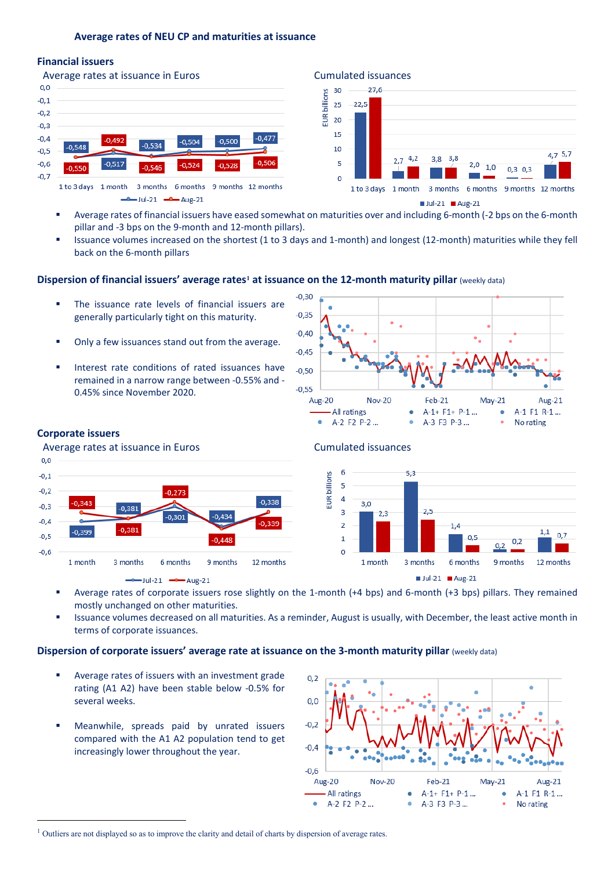### **Average rates of NEU CP and maturities at issuance**

## **Financial issuers**





- Average rates of financial issuers have eased somewhat on maturities over and including 6-month (-2 bps on the 6-month pillar and -3 bps on the 9-month and 12-month pillars).
- Issuance volumes increased on the shortest (1 to 3 days and 1-month) and longest (12-month) maturities while they fell back on the 6-month pillars

# **Dispersion of financial issuers' average rates[1](#page-2-0) at issuance on the 12-month maturity pillar** (weekly data)

- **The issuance rate levels of financial issuers are** generally particularly tight on this maturity.
- Only a few issuances stand out from the average.
- Interest rate conditions of rated issuances have remained in a narrow range between -0.55% and - 0.45% since November 2020.



### **Corporate issuers**

Average rates at issuance in Euros **Cumulated** issuances  $0.0$ 





- Average rates of corporate issuers rose slightly on the 1-month (+4 bps) and 6-month (+3 bps) pillars. They remained mostly unchanged on other maturities.
- Issuance volumes decreased on all maturities. As a reminder, August is usually, with December, the least active month in terms of corporate issuances.

### **Dispersion of corporate issuers' average rate at issuance on the 3-month maturity pillar (weekly data)**

- Average rates of issuers with an investment grade rating (A1 A2) have been stable below -0.5% for several weeks.
- Meanwhile, spreads paid by unrated issuers compared with the A1 A2 population tend to get increasingly lower throughout the year.



<span id="page-2-0"></span><sup>&</sup>lt;sup>1</sup> Outliers are not displayed so as to improve the clarity and detail of charts by dispersion of average rates.